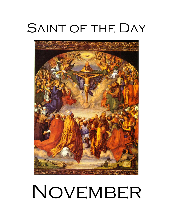# SAINT OF THE DAY



# NOVEMBER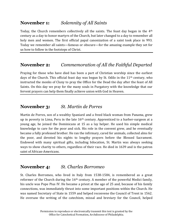# **November 1:** *Solemnity of All Saints*

Today, the Church remembers collectively all the saints. The feast day began in the 4th century as a day to honor martyrs of the Church, but later changed to a day to remember all holy men and women. The first official papal canonization of a saint took place in 993. Today we remember all saints—famous or obscure—for the amazing example they set for us how to follow in the footsteps of Christ.

# **November 2:** *Commemoration of All the Faithful Departed*

Praying for those who have died has been a part of Christian worship since the earliest days of the Church. This official feast day was begun by St. Odilo in the  $11<sup>th</sup>$  century, who instructed the monks of Cluny to pray the Office for the Dead the day after the feast of All Saints. On this day we pray for the many souls in Purgatory with the knowledge that our fervent prayers can help them finally achieve union with God in Heaven.

#### **November 3:** *St. Martin de Porres*

Martin de Porres, son of a wealthy Spaniard and a freed black woman from Panama, grew up in poverty in Lima, Peru in the late 16<sup>th</sup> century. Apprenticed to a barber-surgeon at a young age, he joined the Dominicans at 15 as a lay helper. He used his simple medical knowledge to care for the poor and sick. His role in the convent grew, and he eventually became a fully professed brother. He ran the infirmary, cared for animals, collected alms for the poor, and devoted his nights to lengthy prayers before the Blessed Sacrament. Endowed with many spiritual gifts, including bilocation, St. Martin was always seeking ways to show charity to others, regardless of their race. He died in 1639 and is the patron saint of African-Americans.

# **November 4:** *St. Charles Borromeo*

St. Charles Borromeo, who lived in Italy from 1538-1584, is remembered as a great reformer of the Church during the 16<sup>th</sup> century. A member of the powerful Medici family, his uncle was Pope Pius IV. He became a priest at the age of 25 and, because of his family connections, was immediately thrust into some important positions within the Church. He was named Secretary of State in 1559 and helped reconvene the Council of Trent in 1562. He oversaw the writing of the catechism, missal and breviary for the Council, helped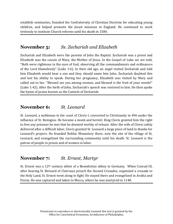establish seminaries, founded the Confraternity of Christian Doctrine for educating young children, and helped promote the Jesuit missions in England. He continued to work tirelessly to institute Church reforms until his death in 1584.

#### **November 5:** *Ss. Zechariah and Elizabeth*

Zechariah and Elizabeth were the parents of John the Baptist. Zechariah was a priest and Elizabeth was the cousin of Mary, the Mother of Jesus. In the Gospel of Luke we are told, "Both were righteous in the eyes of God, observing all the commandments and ordinances of the Lord blamelessly" (Luke 1:6). In their old age, an angel visited Zechariah and told him Elizabeth would bear a son and they should name him John. Zechariah doubted this and lost his ability to speak. During her pregnancy, Elizabeth was visited by Mary and called out to her, "Blessed are you among women, and blessed is the fruit of your womb!" (Luke 1:42). After the birth of John, Zechariah's speech was restored to him. He then spoke the hymn of praise known as the Canticle of Zechariah.

#### **November 6:** *St. Leonard*

St. Leonard, a nobleman in the court of Clovis I, converted to Christianity in 496 under the influence of St. Remigius. He became a monk and hermit. King Clovis granted him the right to free any prisoner he met that he deemed worthy of release. After the wife of Clovis safely delivered after a difficult labor, Clovis granted St. Leonard a large piece of land in thanks for Leonard's prayers. He founded Noblac Monastery there, now the site of the village of St. Leonard, and evangelized the surrounding community until his death. St. Leonard is the patron of people in prison and of women in labor.

#### **November 7:** *St. Ernest, Martyr*

St. Ernest was a 12th century abbot of a Benedictine abbey in Germany. When Conrad III, after hearing St. Bernard of Clairvaux preach the Second Crusades, organized a crusade to the Holy Land, St. Ernest went along to fight. He stayed there and evangelized in Arabia and Persia. He was captured and taken to Mecca, where he was martyred in 1148.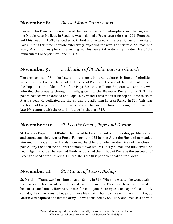# **November 8:** *Blessed John Duns Scotus*

Blessed John Duns Scotus was one of the most important philosophers and theologians of the Middle Ages. He lived in Scotland was ordained a Franciscan priest in 1291. From then until his death in 1308, he studied at Oxford and lectured at the prestigious University of Paris. During this time he wrote extensively, exploring the works of Aristotle, Aquinas, and many Muslim philosophers. His writing was instrumental in defining the doctrine of the Immaculate Conception by Pope Pius IX.

# **November 9:** *Dedication of St. John Lateran Church*

The archbasilica of St. John Lateran is the most important church in Roman Catholicism since it is the cathedral church of the Diocese of Rome and the seat of the Bishop of Rome the Pope. It is the oldest of the four Papa Basilicas in Rome. Emperor Constantine, who inherited the property through his wife, gave it to the Bishop of Rome around 313. The palace basilica was extended and Pope St. Sylvester I was the first Bishop of Rome to claim it as his seat. He dedicated the church, and the adjoining Lateran Palace, in 324. This was the home of the popes until the 14th century. The current church building dates from the late 16th century, with the exterior façade finished in 1718.

# **November 10:** *St. Leo the Great, Pope and Doctor*

St. Leo was Pope from 440-461. He proved to be a brilliant administrator, prolific writer, and courageous defender of Rome. Famously, in 452 he met Attila the Hun and persuaded him not to invade Rome. He also worked hard to promote the doctrines of the Church, particularly the doctrine of Christ's union of two natures—fully human and fully divine. St. Leo diligently battled heresy and firmly established the Bishop of Rome as the successor of Peter and head of the universal Church. He is the first pope to be called "the Great."

# **November 11:** *St. Martin of Tours, Bishop*

St. Martin of Tours was born into a pagan family in 316. When he was ten he went against the wishes of his parents and knocked on the door of a Christian church and asked to become a catechumen. However, he was forced to join the army as a teenager. On a bitterly cold day, he came across a beggar and tore his cloak in half to share with the man. Later, St. Martin was baptized and left the army. He was ordained by St. Hilary and lived as a hermit.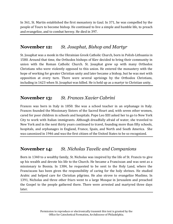In 361, St. Martin established the first monastery in Gaul. In 371, he was compelled by the people of Tours to become bishop. He continued to live a simple and humble life, to preach and evangelize, and to combat heresy. He died in 397.

# **November 12:** *St. Josaphat, Bishop and Martyr*

St. Josaphat was a monk in the Ukrainian Greek Catholic Church, born in Polish-Lithuania in 1580. Around that time, the Orthodox bishops of Kiev decided to bring their community in union with the Roman Catholic Church. St. Josaphat grew up with many Orthodox Christians who were violently opposed to this union. He entered the monastery with the hope of working for greater Christian unity and later became a bishop, but he was met with opposition at every turn. There were several uprisings by the Orthodox Christians, including in 1623 when St. Josaphat was killed. He is held up as a martyr to Christian unity.

# **November 13:** *St. Frances Xavier Cabrini*

Frances was born in Italy in 1850. She was a school teacher in an orphanage in Italy. Frances founded the Missionary Sisters of the Sacred Heart and, with seven other women, cared for poor children in schools and hospitals. Pope Leo XIII asked her to go to New York City to work with Italian immigrants. Although dreadfully afraid of water, she traveled to New York and in the next thirty years continued to travel, founding more than fifty schools, hospitals, and orphanages in England, France, Spain, and North and South America. She was canonized in 1946 and was the first citizen of the United States to be so recognized.

# **November 14:** *St. Nicholas Tavelic and Companions*

Born in 1340 to a wealthy family, St. Nicholas was inspired by the life of St. Francis to give up his wealth and devote his life to the Church. He became a Franciscan and was sent as a missionary to Bosnia. In 1384, he requested to be sent to the Holy Land, where the Franciscans has been given the responsibility of caring for the holy shrines. He studied Arabic and helped care for Christian pilgrims. He also strove to evangelize Muslims. In 1391, Nicholas and three other friars went to a large Mosque in Jerusalem and preached the Gospel to the people gathered there. There were arrested and martyred three days later.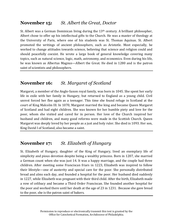# **November 15:** *St. Albert the Great, Doctor*

St. Albert was a German Dominican living during the 13th century. A brilliant philosopher, Albert chose to offer up his intellectual gifts to the Church. He was a master of theology at the University of Paris, where one of his students was St. Thomas Aquinas. St. Albert promoted the writings of ancient philosophers, such as Aristotle. Most especially, he worked to change attitudes towards science, believing that science and religion could and should peacefully coexist. He wrote a large book of general knowledge covering many topics, such as natural science, logic, math, astronomy, and economics. Even during his life, he was known as Albertus Magnus—Albert the Great. He died in 1280 and is the patron saint of scientists and philosophers.

# **November 16:** *St. Margaret of Scotland*

Margaret, a member of the Anglo-Saxon royal family, was born in 1045. She spent her early life in exile with her family in Hungary, but returned to England as a young child. Civil unrest forced her flee again as a teenager. This time she found refuge in Scotland at the court of King Malcolm III. In 1070, Margaret married the king and became Queen Margaret of Scotland and had eight children. She was known for her humble piety and love for the poor, whom she visited and cared for in person. Her love of the Church inspired her husband and children, and many good reforms were made in the Scottish Church. Queen Margaret was deeply loved by her people as a just and holy ruler. She died in 1093. Her son, King David I of Scotland, also became a saint.

# **November 17:** *St. Elizabeth of Hungary*

St. Elizabeth of Hungary, daughter of the King of Hungary, lived an exemplary life of simplicity and pious devotion despite being a wealthy princess. Born in 1207, she married a German count when she was just 14. It was a happy marriage, and the couple had three children. After meeting some Franciscan friars in 1223, Elizabeth was inspired to follow their lifestyle—one of austerity and special care for the poor. She personally distributed bread and alms each day, and founded a hospital for the poor. Her husband died suddenly in 1227, while Elizabeth was pregnant with their third child. After the birth, Elizabeth made a vow of celibacy and became a Third Order Franciscan. She founded another hospital for the poor and worked there until her death at the age of 23 in 1231. Because she gave bread to the poor, she is the patron saint of bakers.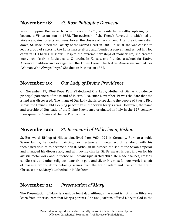# **November 18:** *St. Rose Philippine Duchesne*

Rose Philippine Duchesne, born in France in 1769, set aside her wealthy upbringing to become a Visitation nun in 1788. The outbreak of the French Revolution, which led to violence against priests and nuns, forced the closure of her convent. After the violence died down, St. Rose joined the Society of the Sacred Heart in 1805. In 1818, she was chosen to lead a group of sisters to the Louisiana territory and founded a convent and school in a log cabin in St. Charles, Missouri. Despite the extreme hardships of pioneer life, she created many schools from Louisiana to Colorado. In Kansas, she founded a school for Native American children and evangelized the tribes there. The Native Americans named her "Woman Who Always Prays." She died in Missouri in 1852.

# **November 19:** *Our Lady of Divine Providence*

On November 19, 1969 Pope Paul VI declared Our Lady, Mother of Divine Providence, principal patroness of the island of Puerto Rico, since November 19 was the date that the island was discovered. The image of Our Lady that is so special to the people of Puerto Rico shows the Divine Child sleeping peacefully in the Virgin Mary's arms. However, the name and worship of Our Lady of the Divine Providence originated in Italy in the  $12<sup>th</sup>$  century, then spread to Spain and then to Puerto Rico.

# **November 20:** *St. Bernward of Hildesheim, Bishop*

St. Bernward, Bishop of Hildesheim, lived from 960-1022 in Germany. Born to a noble Saxon family, he studied painting, architecture and metal sculpture along with his theological studies to become a priest. Although he tutored the son of the Saxon emperor and managed his diocese ably and with loving charity, St. Bernward is best known for his artistic metal work and influence on Romanesque architecture. He made chalices, crosses, candlesticks and other religious items from gold and silver. His most famous work is a pair of massive bronze doors detailing scenes from the life of Adam and Eve and the life of Christ, set in St. Mary's Cathedral in Hildesheim.

# **November 21:** *Presentation of Mary*

The Presentation of Mary is a unique feast day. Although the event is not in the Bible, we learn from other sources that Mary's parents, Ann and Joachim, offered Mary to God in the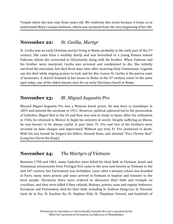Temple when she was only three years old. We celebrate this event because it helps us to understand Mary's unique holiness, which was nurtured from the very beginning of her life.

# **November 22:** *St. Cecilia, Martyr*

St. Cecilia was an early Christian martyr living in Rome, probably in the early part of the 3rd century. She came from a wealthy family and was betrothed to a young Roman named Valerian, whom she converted to Christianity along with his brother. When Valerian and his brother were martyred, Cecilia was arrested and condemned to die. She initially survived the execution, but died three days later after receiving Holy Communion. Legends say she died while singing praises to God, and for this reason St. Cecilia is the patron saint of musicians. A church founded in her house in Rome in the 5th century exists in the same spot today, one of the oldest known sites for an early Christian church in Rome.

# **November 23:** *Bl. Miguel Augustin Pro*

Blessed Miguel Augustin Pro was a Mexican Jesuit priest. He was born in Guadalupe in 1891 and entered the novitiate in 1911. However, political upheaval led to the persecution of Catholics. Miguel fled to the US and then was sent to study in Spain. After his ordination in 1926, he returned to Mexico to begin his ministry in secret. Despite suffering an illness, he was known to be always joyful. A year later, Fr. Pro and two of his brothers were arrested on false charges and imprisoned. Without any trial, Fr. Pro sentenced to death. With his last breath he forgave his killers, blessed them, and shouted "Viva Christo Rey!" (Long live Christ the King!).

# **November 24:** *The Martyrs of Vietnam*

Between 1798 and 1861, many Catholics were killed for their faith in Vietnam. Jesuit and Dominican missionaries from Portugal first came to the area now known as Vietnam in the mid 16th century, but Christianity was forbidden. Later, after a mission school was founded in Paris, many more priests and nuns arrived in Vietnam to baptize and minister to the local people. Christians there were ordered to denounce their faith and trample on crucifixes, and they were killed if they refused. Bishops, priests, nuns and regular believers, European and Vietnamese, died for their faith, including St. Andrew Dung-Lac, St. Vincente Liem de la Paz, St. Joachim Ho, St. Stephen Vinh, St. Thephane Venard, and hundreds of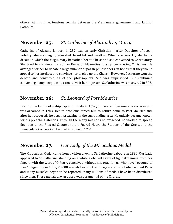others. At this time, tensions remain between the Vietnamese government and faithful Catholics.

# **November 25:** *St. Catherine of Alexandria, Martyr*

Catherine of Alexandria, born in 282, was an early Christian martyr. Daughter of pagan nobility, she was highly educated, beautiful and wealthy. When she was 18, she had a dream in which the Virgin Mary betrothed her to Christ and she converted to Christianity. She tried to convince the Roman Emperor Maxentius to stop persecuting Christians. He arranged for her to debate a large number of pagan philosophers, in hopes that they would appeal to her intellect and convince her to give up the Church. However, Catherine won the debate and converted all of the philosophers. She was imprisoned, but continued converting many people who came to visit her in prison. St. Catherine was martyred in 305.

# **November 26:** *St. Leonard of Port Maurice*

Born to the family of a ship captain in Italy in 1676, St. Leonard became a Franciscan and was ordained in 1703. Health problems forced him to return home to Port Maurice and, after he recovered, he began preaching in the surrounding area. He quickly became known for his preaching abilities. Through the many missions he preached, he worked to spread devotion to the Blessed Sacrament, the Sacred Heart, the Stations of the Cross, and the Immaculate Conception. He died in Rome in 1751.

# **November 27:** *Our Lady of the Miraculous Medal*

The Miraculous Medal came from a vision given to St. Catherine Laboure in 1830. Our Lady appeared to St. Catherine standing on a white globe with rays of light streaming from her fingers with the words "O Mary, conceived without sin, pray for us who have recourse to thee." Beginning in 1832, 20,000 medals bearing this image were distributed around Paris and many miracles began to be reported. Many millions of medals have been distributed since then. These medals are an approved sacramental of the Church.